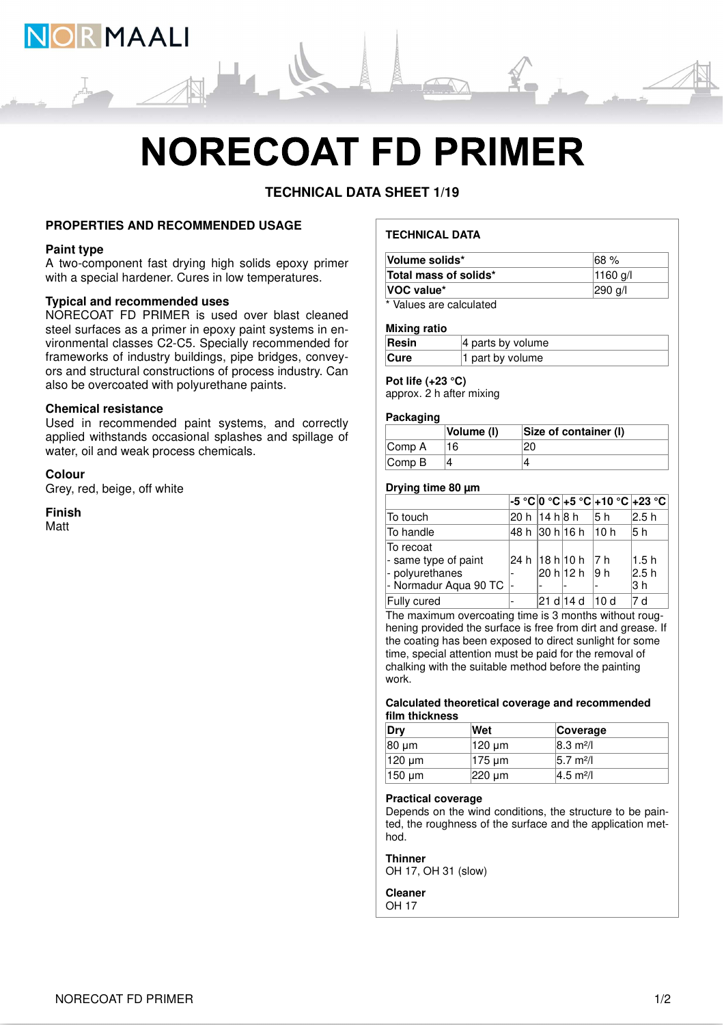

# **NORECOAT FD PRIMER**

**TECHNICAL DATA SHEET 1/19**

# **PROPERTIES AND RECOMMENDED USAGE**

### **Paint type**

A two-component fast drying high solids epoxy primer with a special hardener. Cures in low temperatures.

# **Typical and recommended uses**

NORECOAT FD PRIMER is used over blast cleaned steel surfaces as a primer in epoxy paint systems in environmental classes C2-C5. Specially recommended for frameworks of industry buildings, pipe bridges, conveyors and structural constructions of process industry. Can also be overcoated with polyurethane paints.

#### **Chemical resistance**

Used in recommended paint systems, and correctly applied withstands occasional splashes and spillage of water, oil and weak process chemicals.

**Colour** Grey, red, beige, off white

**Finish** Matt

# **TECHNICAL DATA**

| Total mass of solids*<br>$ 1160 \text{ q}$ |  |  |  |
|--------------------------------------------|--|--|--|
|                                            |  |  |  |
| <b>VOC value*</b><br>$ 290 \text{ q}/I$    |  |  |  |

\* Values are calculated

#### **Mixing ratio**

| Resin       | $ 4$ parts by volume |
|-------------|----------------------|
| <b>Cure</b> | 1 part by volume     |

# **Pot life (+23 °C)**

approx. 2 h after mixing

#### **Packaging**

|                             | Volume (I) | Size of container (I) |
|-----------------------------|------------|-----------------------|
| Comp A                      |            |                       |
| $\mathsf{Comp}\,\mathsf{B}$ |            |                       |

# **Drying time 80 µm**

|                       |                |                       | -5 °C 0 °C +5 °C +10 °C +23 °C |       |
|-----------------------|----------------|-----------------------|--------------------------------|-------|
| To touch              | 20 h  14 h 8 h |                       | 15 h                           | 2.5 h |
| To handle             |                | 48 h  30 h 16 h  10 h |                                | l5 h  |
| To recoat             |                |                       |                                |       |
| - same type of paint  |                | 24 h 18 h 10 h 7 h    |                                | 1.5h  |
| - polyurethanes       |                | 20 h 12 h  9 h        |                                | 2.5 h |
| - Normadur Aqua 90 TC |                |                       |                                | l3 h  |
| Fully cured           |                | 21 di 14 d            | 10 d                           | 7 d   |

The maximum overcoating time is 3 months without roughening provided the surface is free from dirt and grease. If the coating has been exposed to direct sunlight for some time, special attention must be paid for the removal of chalking with the suitable method before the painting work.

#### **Calculated theoretical coverage and recommended film thickness**

| Drv    | Wet                        | Coverage                     |
|--------|----------------------------|------------------------------|
| 80 um  | 120 um                     | $ 8.3 \text{ m}^2/\text{l} $ |
| 120 µm | $ 175 \,\mathrm{\upmu m} $ | 5.7 m <sup>2</sup> /l        |
| 150 um | $ 220 \text{ µm} $         | $ 4.5 \text{ m}^2/\text{l} $ |

#### **Practical coverage**

Depends on the wind conditions, the structure to be painted, the roughness of the surface and the application method.

#### **Thinner**

OH 17, OH 31 (slow)

**Cleaner** OH 17